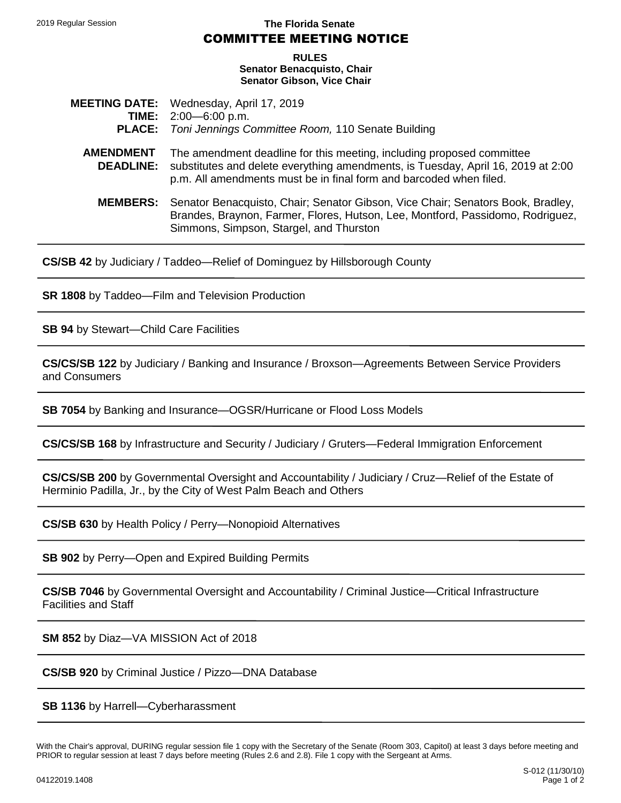2019 Regular Session **The Florida Senate**

## COMMITTEE MEETING NOTICE

 **RULES Senator Benacquisto, Chair Senator Gibson, Vice Chair**

- **MEETING DATE:** Wednesday, April 17, 2019 **TIME:** 2:00—6:00 p.m. **PLACE:** *Toni Jennings Committee Room,* 110 Senate Building
	- **AMENDMENT DEADLINE:** The amendment deadline for this meeting, including proposed committee substitutes and delete everything amendments, is Tuesday, April 16, 2019 at 2:00 p.m. All amendments must be in final form and barcoded when filed.
		- **MEMBERS:** Senator Benacquisto, Chair; Senator Gibson, Vice Chair; Senators Book, Bradley, Brandes, Braynon, Farmer, Flores, Hutson, Lee, Montford, Passidomo, Rodriguez, Simmons, Simpson, Stargel, and Thurston

**[CS/SB 42](http://www.flsenate.gov/Session/Bill/2019/00042)** by Judiciary / Taddeo—Relief of Dominguez by Hillsborough County

**[SR 1808](http://www.flsenate.gov/Session/Bill/2019/01808)** by Taddeo—Film and Television Production

**[SB 94](http://www.flsenate.gov/Session/Bill/2019/00094)** by Stewart—Child Care Facilities

**[CS/CS/SB 122](http://www.flsenate.gov/Session/Bill/2019/00122)** by Judiciary / Banking and Insurance / Broxson—Agreements Between Service Providers and Consumers

**[SB 7054](http://www.flsenate.gov/Session/Bill/2019/07054)** by Banking and Insurance—OGSR/Hurricane or Flood Loss Models

**[CS/CS/SB 168](http://www.flsenate.gov/Session/Bill/2019/00168)** by Infrastructure and Security / Judiciary / Gruters—Federal Immigration Enforcement

**[CS/CS/SB 200](http://www.flsenate.gov/Session/Bill/2019/00200)** by Governmental Oversight and Accountability / Judiciary / Cruz—Relief of the Estate of Herminio Padilla, Jr., by the City of West Palm Beach and Others

**[CS/SB 630](http://www.flsenate.gov/Session/Bill/2019/00630)** by Health Policy / Perry—Nonopioid Alternatives

**[SB 902](http://www.flsenate.gov/Session/Bill/2019/00902)** by Perry—Open and Expired Building Permits

**[CS/SB 7046](http://www.flsenate.gov/Session/Bill/2019/07046)** by Governmental Oversight and Accountability / Criminal Justice—Critical Infrastructure Facilities and Staff

**[SM 852](http://www.flsenate.gov/Session/Bill/2019/00852)** by Diaz—VA MISSION Act of 2018

**[CS/SB 920](http://www.flsenate.gov/Session/Bill/2019/00920)** by Criminal Justice / Pizzo—DNA Database

**[SB 1136](http://www.flsenate.gov/Session/Bill/2019/01136)** by Harrell—Cyberharassment

With the Chair's approval, DURING regular session file 1 copy with the Secretary of the Senate (Room 303, Capitol) at least 3 days before meeting and PRIOR to regular session at least 7 days before meeting (Rules 2.6 and 2.8). File 1 copy with the Sergeant at Arms.